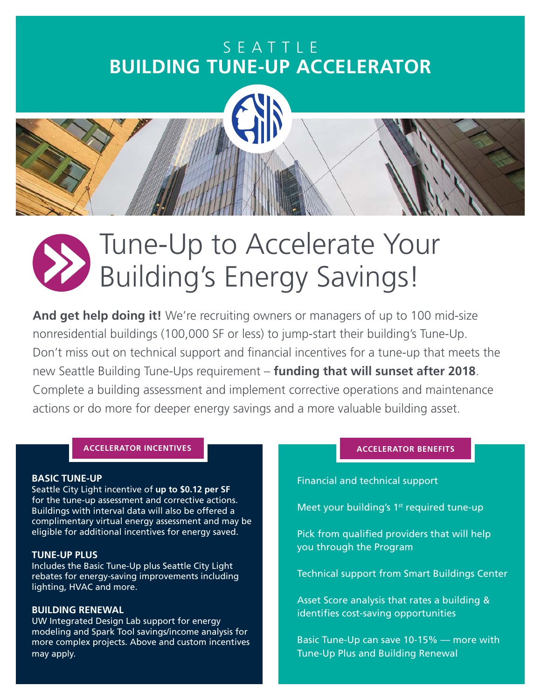### SEATTLE **BUILDING TUNE-UP ACCELERATOR**



**And get help doing it!** We're recruiting owners or managers of up to 100 mid-size nonresidential buildings (100,000 SF or less) to jump-start their building's Tune-Up. Don't miss out on technical support and financial incentives for a tune-up that meets the new Seattle Building Tune-Ups requirement – **funding that will sunset after 2018**. Complete a building assessment and implement corrective operations and maintenance actions or do more for deeper energy savings and a more valuable building asset.

### **ACCELERATOR INCENTIVES**

### **BASIC TUNE-UP**

Seattle City Light incentive of **up to \$0.12 per SF** for the tune-up assessment and corrective actions. Buildings with interval data will also be offered a complimentary virtual energy assessment and may be eligible for additional incentives for energy saved.

#### **TUNE-UP PLUS**

Includes the Basic Tune-Up plus Seattle City Light rebates for energy-saving improvements including lighting, HVAC and more.

### **BUILDING RENEWAL**

UW Integrated Design Lab support for energy modeling and Spark Tool savings/income analysis for more complex projects. Above and custom incentives may apply.

Financial and technical support

Meet your building's  $1<sup>st</sup>$  required tune-up

Pick from qualified providers that will help you through the Program

Technical support from Smart Buildings Center

Asset Score analysis that rates a building & identifies cost-saving opportunities

Basic Tune-Up can save 10-15% — more with Tune-Up Plus and Building Renewal